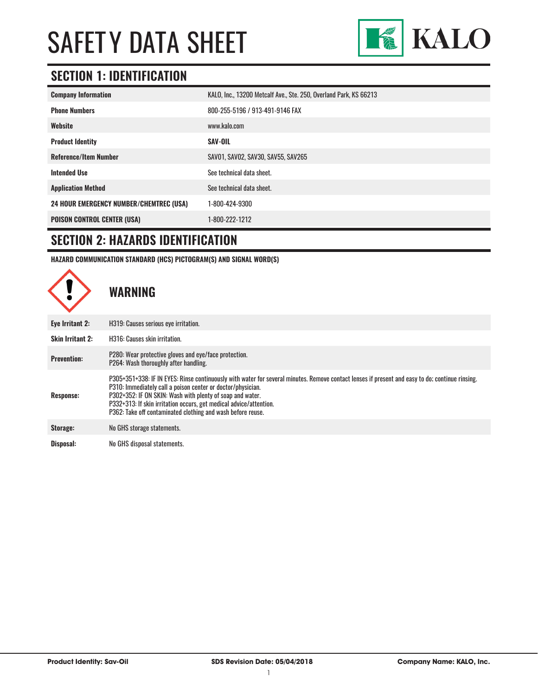

## **SECTION 1: IDENTIFICATION**

| <b>Company Information</b>                     | KALO, Inc., 13200 Metcalf Ave., Ste. 250, Overland Park, KS 66213 |  |
|------------------------------------------------|-------------------------------------------------------------------|--|
| <b>Phone Numbers</b>                           | 800-255-5196 / 913-491-9146 FAX                                   |  |
| Website                                        | www.kalo.com                                                      |  |
| <b>Product Identity</b>                        | <b>SAV-OIL</b>                                                    |  |
| <b>Reference/Item Number</b>                   | SAV01, SAV02, SAV30, SAV55, SAV265                                |  |
| <b>Intended Use</b>                            | See technical data sheet.                                         |  |
| <b>Application Method</b>                      | See technical data sheet.                                         |  |
| <b>24 HOUR EMERGENCY NUMBER/CHEMTREC (USA)</b> | 1-800-424-9300                                                    |  |
| <b>POISON CONTROL CENTER (USA)</b>             | 1-800-222-1212                                                    |  |

### **SECTION 2: HAZARDS IDENTIFICATION**

**HAZARD COMMUNICATION STANDARD (HCS) PICTOGRAM(S) AND SIGNAL WORD(S)**

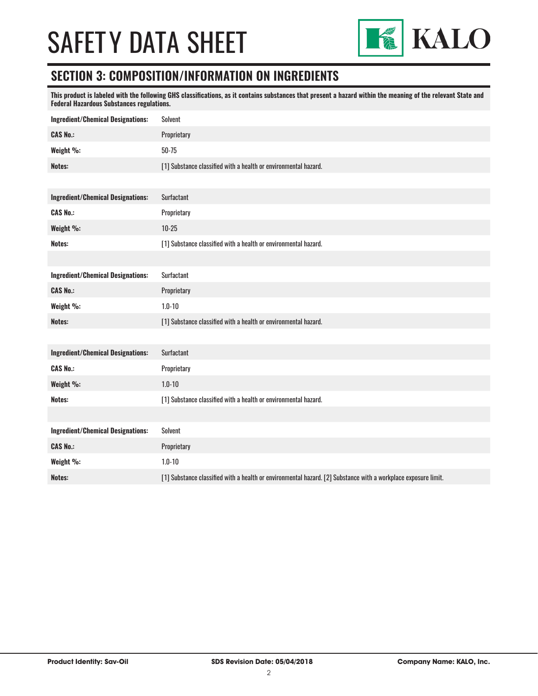

### **SECTION 3: COMPOSITION/INFORMATION ON INGREDIENTS**

**This product is labeled with the following GHS classifications, as it contains substances that present a hazard within the meaning of the relevant State and Federal Hazardous Substances regulations.** 

| <b>Ingredient/Chemical Designations:</b> | <b>Solvent</b>                                                                                                 |
|------------------------------------------|----------------------------------------------------------------------------------------------------------------|
| <b>CAS No.:</b>                          | Proprietary                                                                                                    |
| Weight %:                                | $50 - 75$                                                                                                      |
| Notes:                                   | [1] Substance classified with a health or environmental hazard.                                                |
|                                          |                                                                                                                |
| <b>Ingredient/Chemical Designations:</b> | <b>Surfactant</b>                                                                                              |
| <b>CAS No.:</b>                          | Proprietary                                                                                                    |
| Weight %:                                | $10 - 25$                                                                                                      |
| Notes:                                   | [1] Substance classified with a health or environmental hazard.                                                |
|                                          |                                                                                                                |
| <b>Ingredient/Chemical Designations:</b> | <b>Surfactant</b>                                                                                              |
| <b>CAS No.:</b>                          | Proprietary                                                                                                    |
| Weight %:                                | $1.0 - 10$                                                                                                     |
| Notes:                                   | [1] Substance classified with a health or environmental hazard.                                                |
|                                          |                                                                                                                |
| <b>Ingredient/Chemical Designations:</b> | <b>Surfactant</b>                                                                                              |
| <b>CAS No.:</b>                          | Proprietary                                                                                                    |
| Weight %:                                | $1.0 - 10$                                                                                                     |
| Notes:                                   | [1] Substance classified with a health or environmental hazard.                                                |
|                                          |                                                                                                                |
| <b>Ingredient/Chemical Designations:</b> | Solvent                                                                                                        |
| <b>CAS No.:</b>                          | Proprietary                                                                                                    |
| Weight %:                                | $1.0 - 10$                                                                                                     |
| Notes:                                   | [1] Substance classified with a health or environmental hazard. [2] Substance with a workplace exposure limit. |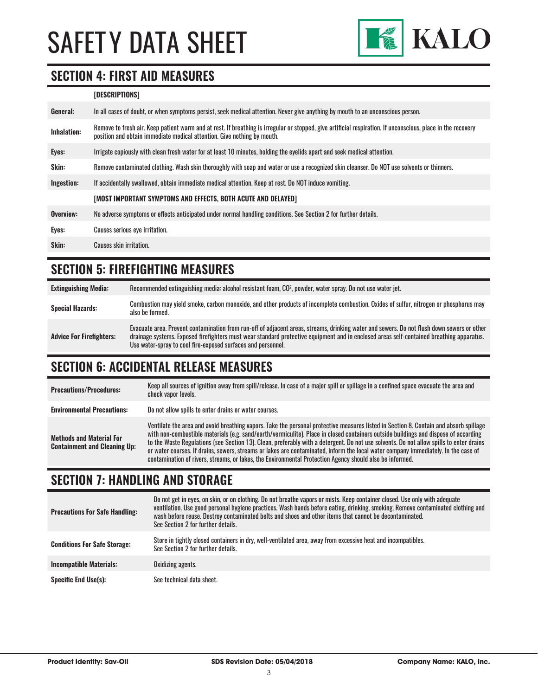

### **SECTION 4: FIRST AID MEASURES**

#### **[DESCRIPTIONS]**

| General:           | In all cases of doubt, or when symptoms persist, seek medical attention. Never give anything by mouth to an unconscious person.                                                                                                         |
|--------------------|-----------------------------------------------------------------------------------------------------------------------------------------------------------------------------------------------------------------------------------------|
| <b>Inhalation:</b> | Remove to fresh air. Keep patient warm and at rest. If breathing is irregular or stopped, give artificial respiration. If unconscious, place in the recovery<br>position and obtain immediate medical attention. Give nothing by mouth. |
| Eyes:              | Irrigate copiously with clean fresh water for at least 10 minutes, holding the eyelids apart and seek medical attention.                                                                                                                |
| <b>Skin:</b>       | Remove contaminated clothing. Wash skin thoroughly with soap and water or use a recognized skin cleanser. Do NOT use solvents or thinners.                                                                                              |
| Ingestion:         | If accidentally swallowed, obtain immediate medical attention. Keep at rest. Do NOT induce vomiting.                                                                                                                                    |
|                    | [MOST IMPORTANT SYMPTOMS AND EFFECTS, BOTH ACUTE AND DELAYED]                                                                                                                                                                           |
| Overview:          | No adverse symptoms or effects anticipated under normal handling conditions. See Section 2 for further details.                                                                                                                         |
| Eyes:              | Causes serious eye irritation.                                                                                                                                                                                                          |
| Skin:              | Causes skin irritation.                                                                                                                                                                                                                 |
|                    |                                                                                                                                                                                                                                         |

## **SECTION 5: FIREFIGHTING MEASURES**

| <b>Extinguishing Media:</b>     | Recommended extinguishing media: alcohol resistant foam, CO <sup>2</sup> , powder, water spray. Do not use water jet.                                                                                                                                                                                                                                  |
|---------------------------------|--------------------------------------------------------------------------------------------------------------------------------------------------------------------------------------------------------------------------------------------------------------------------------------------------------------------------------------------------------|
| <b>Special Hazards:</b>         | Combustion may yield smoke, carbon monoxide, and other products of incomplete combustion. Oxides of sulfur, nitrogen or phosphorus may<br>also be formed.                                                                                                                                                                                              |
| <b>Advice For Firefighters:</b> | Evacuate area. Prevent contamination from run-off of adjacent areas, streams, drinking water and sewers. Do not flush down sewers or other<br>drainage systems. Exposed firefighters must wear standard protective equipment and in enclosed areas self-contained breathing apparatus.<br>Use water-spray to cool fire-exposed surfaces and personnel. |

### **SECTION 6: ACCIDENTAL RELEASE MEASURES**

| <b>Precautions/Procedures:</b>                                         | Keep all sources of ignition away from spill/release. In case of a major spill or spillage in a confined space evacuate the area and<br>check vapor levels.                                                                                                                                                                                                                                                                                                                                                                                                                                                                                                               |
|------------------------------------------------------------------------|---------------------------------------------------------------------------------------------------------------------------------------------------------------------------------------------------------------------------------------------------------------------------------------------------------------------------------------------------------------------------------------------------------------------------------------------------------------------------------------------------------------------------------------------------------------------------------------------------------------------------------------------------------------------------|
| <b>Environmental Precautions:</b>                                      | Do not allow spills to enter drains or water courses.                                                                                                                                                                                                                                                                                                                                                                                                                                                                                                                                                                                                                     |
| <b>Methods and Material For</b><br><b>Containment and Cleaning Up:</b> | Ventilate the area and avoid breathing vapors. Take the personal protective measures listed in Section 8. Contain and absorb spillage<br>with non-combustible materials (e.g. sand/earth/vermiculite). Place in closed containers outside buildings and dispose of according<br>to the Waste Regulations (see Section 13). Clean, preferably with a detergent. Do not use solvents. Do not allow spills to enter drains<br>or water courses. If drains, sewers, streams or lakes are contaminated, inform the local water company immediately. In the case of<br>contamination of rivers, streams, or lakes, the Environmental Protection Agency should also be informed. |

### **SECTION 7: HANDLING AND STORAGE**

| <b>Precautions For Safe Handling:</b> | Do not get in eyes, on skin, or on clothing. Do not breathe vapors or mists. Keep container closed. Use only with adequate<br>ventilation. Use good personal hygiene practices. Wash hands before eating, drinking, smoking. Remove contaminated clothing and<br>wash before reuse. Destroy contaminated belts and shoes and other items that cannot be decontaminated.<br>See Section 2 for further details. |
|---------------------------------------|---------------------------------------------------------------------------------------------------------------------------------------------------------------------------------------------------------------------------------------------------------------------------------------------------------------------------------------------------------------------------------------------------------------|
| <b>Conditions For Safe Storage:</b>   | Store in tightly closed containers in dry, well-ventilated area, away from excessive heat and incompatibles.<br>See Section 2 for further details.                                                                                                                                                                                                                                                            |
| <b>Incompatible Materials:</b>        | Oxidizing agents.                                                                                                                                                                                                                                                                                                                                                                                             |
| <b>Specific End Use(s):</b>           | See technical data sheet.                                                                                                                                                                                                                                                                                                                                                                                     |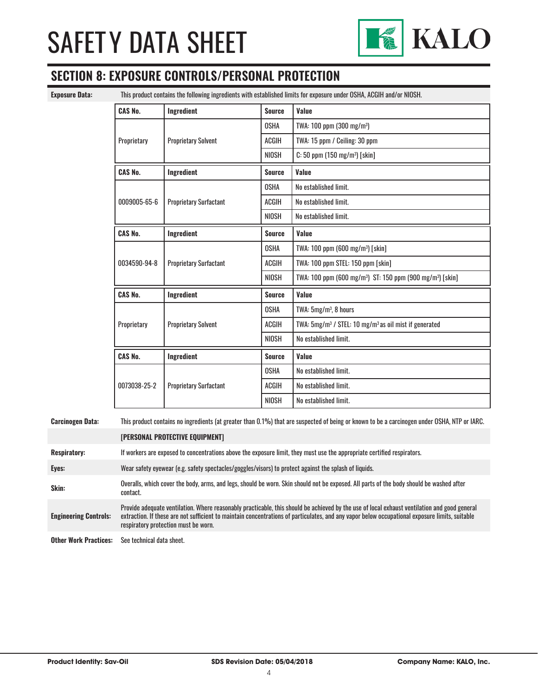

## **SECTION 8: EXPOSURE CONTROLS/PERSONAL PROTECTION**

**Exposure Data:** This product contains the following ingredients with established limits for exposure under OSHA, ACGIH and/or NIOSH.

| <b>CAS No.</b> | Ingredient                    | <b>Source</b>         | Value                                                                             |
|----------------|-------------------------------|-----------------------|-----------------------------------------------------------------------------------|
|                |                               | <b>OSHA</b>           | TWA: 100 ppm (300 mg/m <sup>3</sup> )                                             |
| Proprietary    | <b>Proprietary Solvent</b>    | <b>ACGIH</b>          | TWA: 15 ppm / Ceiling: 30 ppm                                                     |
|                |                               | <b>NIOSH</b>          | $C: 50$ ppm $(150 \text{ mg/m}^3)$ [skin]                                         |
| <b>CAS No.</b> | Ingredient                    | <b>Source</b>         | Value                                                                             |
|                |                               | <b>OSHA</b>           | No established limit.                                                             |
| 0009005-65-6   | <b>Proprietary Surfactant</b> | <b>ACGIH</b>          | No established limit.                                                             |
|                |                               | <b>NIOSH</b>          | No established limit.                                                             |
| <b>CAS No.</b> | Ingredient                    | <b>Source</b>         | Value                                                                             |
|                |                               | <b>OSHA</b>           | TWA: 100 ppm (600 mg/m <sup>3</sup> ) [skin]                                      |
| 0034590-94-8   | <b>Proprietary Surfactant</b> | ACGIH                 | TWA: 100 ppm STEL: 150 ppm [skin]                                                 |
|                |                               | NIOSH                 | TWA: 100 ppm (600 mg/m <sup>3</sup> ) ST: 150 ppm (900 mg/m <sup>3</sup> ) [skin] |
| <b>CAS No.</b> | Ingredient                    | <b>Source</b>         | Value                                                                             |
|                |                               | <b>OSHA</b>           | TWA: $5mg/m^3$ , 8 hours                                                          |
| Proprietary    | <b>Proprietary Solvent</b>    | <b>ACGIH</b>          | TWA: 5mg/m <sup>3</sup> / STEL: 10 mg/m <sup>3</sup> as oil mist if generated     |
|                | <b>NIOSH</b>                  | No established limit. |                                                                                   |
| <b>CAS No.</b> | Ingredient                    | <b>Source</b>         | Value                                                                             |
|                |                               | <b>OSHA</b>           | No established limit.                                                             |
| 0073038-25-2   | <b>Proprietary Surfactant</b> | <b>ACGIH</b>          | No established limit.                                                             |
|                |                               | NIOSH                 | No established limit.                                                             |

#### **Carcinogen Data:** This product contains no ingredients (at greater than 0.1%) that are suspected of being or known to be a carcinogen under OSHA, NTP or IARC.

|                              | [PERSONAL PROTECTIVE EQUIPMENT]                                                                                                                                                                                                                                                                                                        |
|------------------------------|----------------------------------------------------------------------------------------------------------------------------------------------------------------------------------------------------------------------------------------------------------------------------------------------------------------------------------------|
| <b>Respiratory:</b>          | If workers are exposed to concentrations above the exposure limit, they must use the appropriate certified respirators.                                                                                                                                                                                                                |
| Eyes:                        | Wear safety eyewear (e.g. safety spectacles/goggles/visors) to protect against the splash of liquids.                                                                                                                                                                                                                                  |
| Skin:                        | Overalls, which cover the body, arms, and legs, should be worn. Skin should not be exposed. All parts of the body should be washed after<br>contact.                                                                                                                                                                                   |
| <b>Engineering Controls:</b> | Provide adequate ventilation. Where reasonably practicable, this should be achieved by the use of local exhaust ventilation and good general<br>extraction. If these are not sufficient to maintain concentrations of particulates, and any vapor below occupational exposure limits, suitable<br>respiratory protection must be worn. |
| <b>Other Work Practices:</b> | See technical data sheet.                                                                                                                                                                                                                                                                                                              |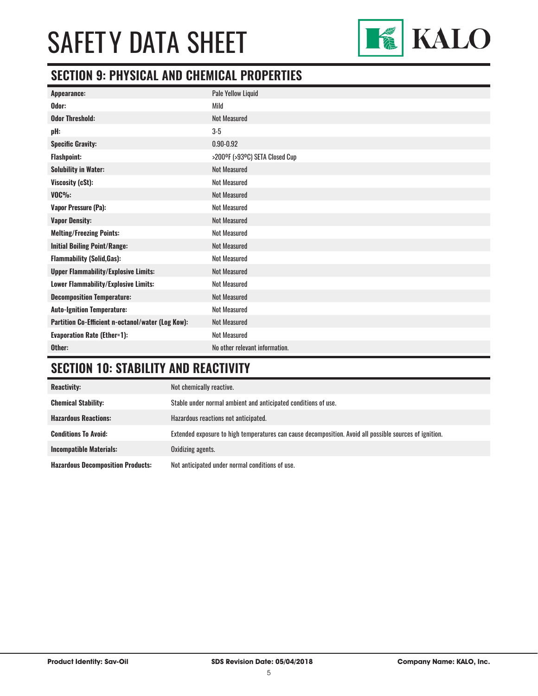

## **SECTION 9: PHYSICAL AND CHEMICAL PROPERTIES**

| Appearance:                                       | Pale Yellow Liquid             |
|---------------------------------------------------|--------------------------------|
| Odor:                                             | Mild                           |
| <b>Odor Threshold:</b>                            | <b>Not Measured</b>            |
| pH:                                               | $3-5$                          |
| <b>Specific Gravity:</b>                          | $0.90 - 0.92$                  |
| <b>Flashpoint:</b>                                | >200°F (>93°C) SETA Closed Cup |
| <b>Solubility in Water:</b>                       | <b>Not Measured</b>            |
| Viscosity (cSt):                                  | <b>Not Measured</b>            |
| $VOC\%$ :                                         | <b>Not Measured</b>            |
| Vapor Pressure (Pa):                              | <b>Not Measured</b>            |
| <b>Vapor Density:</b>                             | <b>Not Measured</b>            |
| <b>Melting/Freezing Points:</b>                   | <b>Not Measured</b>            |
| <b>Initial Boiling Point/Range:</b>               | <b>Not Measured</b>            |
| <b>Flammability (Solid, Gas):</b>                 | <b>Not Measured</b>            |
| <b>Upper Flammability/Explosive Limits:</b>       | <b>Not Measured</b>            |
| Lower Flammability/Explosive Limits:              | <b>Not Measured</b>            |
| <b>Decomposition Temperature:</b>                 | <b>Not Measured</b>            |
| <b>Auto-Ignition Temperature:</b>                 | <b>Not Measured</b>            |
| Partition Co-Efficient n-octanol/water (Log Kow): | <b>Not Measured</b>            |
| <b>Evaporation Rate (Ether=1):</b>                | <b>Not Measured</b>            |
| Other:                                            | No other relevant information. |

## **SECTION 10: STABILITY AND REACTIVITY**

| <b>Reactivity:</b>                       | Not chemically reactive.                                                                                |
|------------------------------------------|---------------------------------------------------------------------------------------------------------|
| <b>Chemical Stability:</b>               | Stable under normal ambient and anticipated conditions of use.                                          |
| <b>Hazardous Reactions:</b>              | Hazardous reactions not anticipated.                                                                    |
| <b>Conditions To Avoid:</b>              | Extended exposure to high temperatures can cause decomposition. Avoid all possible sources of ignition. |
| <b>Incompatible Materials:</b>           | Oxidizing agents.                                                                                       |
| <b>Hazardous Decomposition Products:</b> | Not anticipated under normal conditions of use.                                                         |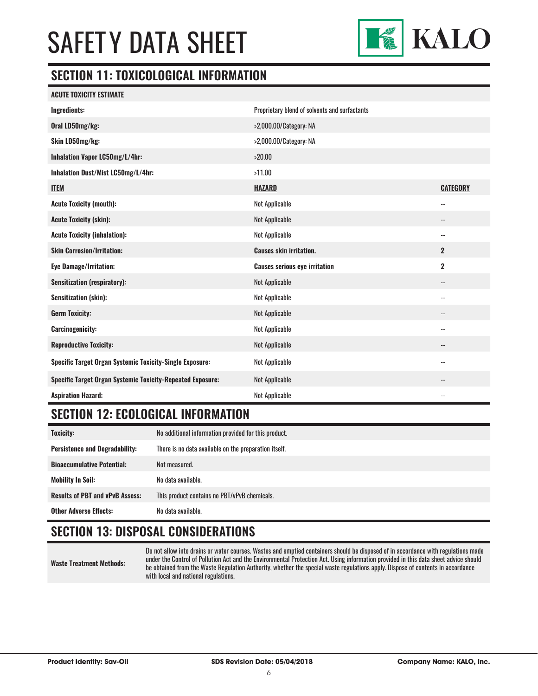

## **SECTION 11: TOXICOLOGICAL INFORMATION**

|  | <b>ACUTE TOXICITY ESTIMATE</b> |
|--|--------------------------------|
|  |                                |

| Ingredients:                                                      | Proprietary blend of solvents and surfactants |                            |
|-------------------------------------------------------------------|-----------------------------------------------|----------------------------|
| Oral LD50mg/kg:                                                   | >2,000.00/Category: NA                        |                            |
| Skin LD50mg/kg:                                                   | >2,000.00/Category: NA                        |                            |
| Inhalation Vapor LC50mg/L/4hr:                                    | >20.00                                        |                            |
| Inhalation Dust/Mist LC50mg/L/4hr:                                | >11.00                                        |                            |
| <b>ITEM</b>                                                       | <b>HAZARD</b>                                 | <b>CATEGORY</b>            |
| <b>Acute Toxicity (mouth):</b>                                    | Not Applicable                                | $\overline{\phantom{a}}$   |
| <b>Acute Toxicity (skin):</b>                                     | Not Applicable                                | --                         |
| <b>Acute Toxicity (inhalation):</b>                               | Not Applicable                                | $\overline{\phantom{a}}$   |
| <b>Skin Corrosion/Irritation:</b>                                 | <b>Causes skin irritation.</b>                | $\mathbf{2}$               |
| <b>Eye Damage/Irritation:</b>                                     | <b>Causes serious eye irritation</b>          | $\overline{2}$             |
| <b>Sensitization (respiratory):</b>                               | <b>Not Applicable</b>                         | $\overline{\phantom{a}}$   |
| <b>Sensitization (skin):</b>                                      | Not Applicable                                | $\overline{\phantom{a}}$   |
| <b>Germ Toxicity:</b>                                             | <b>Not Applicable</b>                         | $\overline{\phantom{a}}$   |
| <b>Carcinogenicity:</b>                                           | Not Applicable                                | $\overline{\phantom{a}}$ . |
| <b>Reproductive Toxicity:</b>                                     | <b>Not Applicable</b>                         | --                         |
| Specific Target Organ Systemic Toxicity-Single Exposure:          | Not Applicable                                | $-$                        |
| <b>Specific Target Organ Systemic Toxicity-Repeated Exposure:</b> | Not Applicable                                | --                         |
| <b>Aspiration Hazard:</b>                                         | <b>Not Applicable</b>                         | $\overline{\phantom{a}}$   |

### **SECTION 12: ECOLOGICAL INFORMATION**

| <b>Toxicity:</b>                       | No additional information provided for this product.  |  |
|----------------------------------------|-------------------------------------------------------|--|
| <b>Persistence and Degradability:</b>  | There is no data available on the preparation itself. |  |
| <b>Bioaccumulative Potential:</b>      | Not measured.                                         |  |
| <b>Mobility In Soil:</b>               | No data available.                                    |  |
| <b>Results of PBT and vPvB Assess:</b> | This product contains no PBT/vPvB chemicals.          |  |
| <b>Other Adverse Effects:</b>          | No data available.                                    |  |

## **SECTION 13: DISPOSAL CONSIDERATIONS**

**Waste Treatment Methods:**

Do not allow into drains or water courses. Wastes and emptied containers should be disposed of in accordance with regulations made under the Control of Pollution Act and the Environmental Protection Act. Using information provided in this data sheet advice should be obtained from the Waste Regulation Authority, whether the special waste regulations apply. Dispose of contents in accordance with local and national regulations.